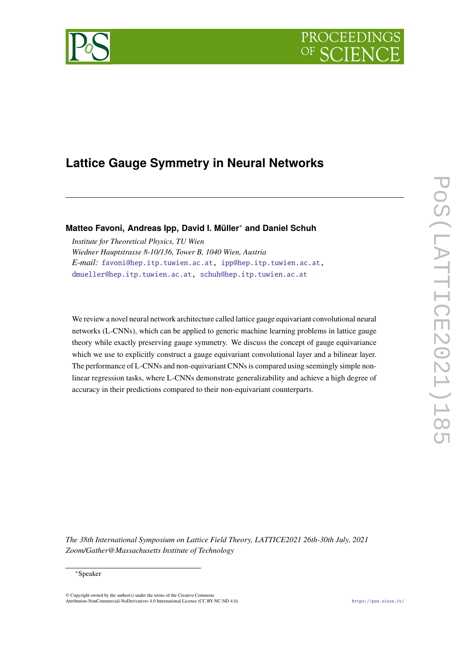# **PROCEEDIN**



# **Lattice Gauge Symmetry in Neural Networks**

**Matteo Favoni, Andreas Ipp, David I. Müller**<sup>∗</sup> **and Daniel Schuh**

*Institute for Theoretical Physics, TU Wien Wiedner Hauptstrasse 8-10/136, Tower B, 1040 Wien, Austria E-mail:* [favoni@hep.itp.tuwien.ac.at,](mailto:favoni@hep.itp.tuwien.ac.at) [ipp@hep.itp.tuwien.ac.at,](mailto:ipp@hep.itp.tuwien.ac.at) [dmueller@hep.itp.tuwien.ac.at,](mailto:dmueller@hep.itp.tuwien.ac.at) [schuh@hep.itp.tuwien.ac.at](mailto:schuh@hep.itp.tuwien.ac.at)

We review a novel neural network architecture called lattice gauge equivariant convolutional neural networks (L-CNNs), which can be applied to generic machine learning problems in lattice gauge theory while exactly preserving gauge symmetry. We discuss the concept of gauge equivariance which we use to explicitly construct a gauge equivariant convolutional layer and a bilinear layer. The performance of L-CNNs and non-equivariant CNNs is compared using seemingly simple nonlinear regression tasks, where L-CNNs demonstrate generalizability and achieve a high degree of accuracy in their predictions compared to their non-equivariant counterparts.

*The 38th International Symposium on Lattice Field Theory, LATTICE2021 26th-30th July, 2021 Zoom/Gather@Massachusetts Institute of Technology*

#### <sup>∗</sup>Speaker

© Copyright owned by the author(s) under the terms of the Creative Common Attribution-NonCommercial-NoDerivatives 4.0 International License (CC BY-NC-ND 4.0). <https://pos.sissa.it/>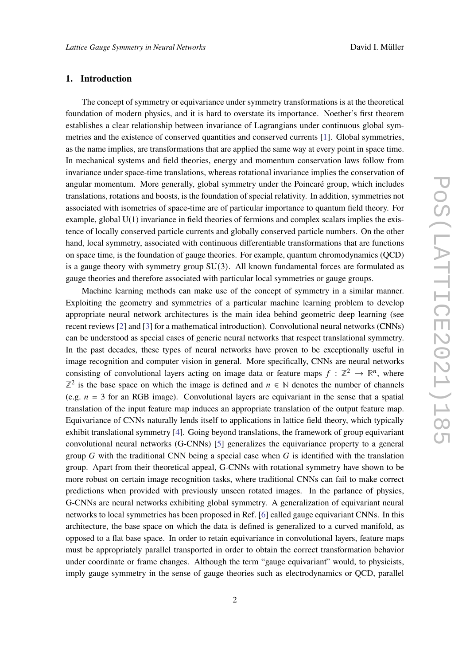# **1. Introduction**

The concept of symmetry or equivariance under symmetry transformations is at the theoretical foundation of modern physics, and it is hard to overstate its importance. Noether's first theorem establishes a clear relationship between invariance of Lagrangians under continuous global symmetries and the existence of conserved quantities and conserved currents [\[1\]](#page-8-0). Global symmetries, as the name implies, are transformations that are applied the same way at every point in space time. In mechanical systems and field theories, energy and momentum conservation laws follow from invariance under space-time translations, whereas rotational invariance implies the conservation of angular momentum. More generally, global symmetry under the Poincaré group, which includes translations, rotations and boosts, is the foundation of special relativity. In addition, symmetries not associated with isometries of space-time are of particular importance to quantum field theory. For example, global U(1) invariance in field theories of fermions and complex scalars implies the existence of locally conserved particle currents and globally conserved particle numbers. On the other hand, local symmetry, associated with continuous differentiable transformations that are functions on space time, is the foundation of gauge theories. For example, quantum chromodynamics (QCD) is a gauge theory with symmetry group SU(3). All known fundamental forces are formulated as gauge theories and therefore associated with particular local symmetries or gauge groups.

Machine learning methods can make use of the concept of symmetry in a similar manner. Exploiting the geometry and symmetries of a particular machine learning problem to develop appropriate neural network architectures is the main idea behind geometric deep learning (see recent reviews [\[2\]](#page-8-1) and [\[3\]](#page-8-2) for a mathematical introduction). Convolutional neural networks (CNNs) can be understood as special cases of generic neural networks that respect translational symmetry. In the past decades, these types of neural networks have proven to be exceptionally useful in image recognition and computer vision in general. More specifically, CNNs are neural networks consisting of convolutional layers acting on image data or feature maps  $f : \mathbb{Z}^2 \to \mathbb{R}^n$ , where  $\mathbb{Z}^2$  is the base space on which the image is defined and  $n \in \mathbb{N}$  denotes the number of channels (e.g.  $n = 3$  for an RGB image). Convolutional layers are equivariant in the sense that a spatial translation of the input feature map induces an appropriate translation of the output feature map. Equivariance of CNNs naturally lends itself to applications in lattice field theory, which typically exhibit translational symmetry [\[4\]](#page-8-3). Going beyond translations, the framework of group equivariant convolutional neural networks (G-CNNs) [\[5\]](#page-8-4) generalizes the equivariance property to a general group  $G$  with the traditional CNN being a special case when  $G$  is identified with the translation group. Apart from their theoretical appeal, G-CNNs with rotational symmetry have shown to be more robust on certain image recognition tasks, where traditional CNNs can fail to make correct predictions when provided with previously unseen rotated images. In the parlance of physics, G-CNNs are neural networks exhibiting global symmetry. A generalization of equivariant neural networks to local symmetries has been proposed in Ref. [\[6\]](#page-8-5) called gauge equivariant CNNs. In this architecture, the base space on which the data is defined is generalized to a curved manifold, as opposed to a flat base space. In order to retain equivariance in convolutional layers, feature maps must be appropriately parallel transported in order to obtain the correct transformation behavior under coordinate or frame changes. Although the term "gauge equivariant" would, to physicists, imply gauge symmetry in the sense of gauge theories such as electrodynamics or QCD, parallel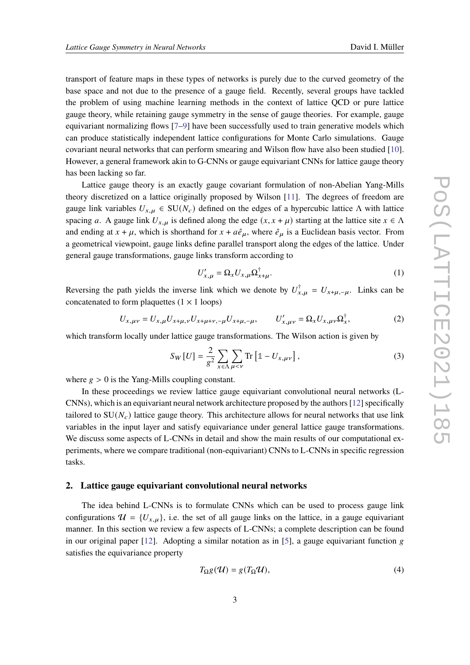transport of feature maps in these types of networks is purely due to the curved geometry of the base space and not due to the presence of a gauge field. Recently, several groups have tackled the problem of using machine learning methods in the context of lattice QCD or pure lattice gauge theory, while retaining gauge symmetry in the sense of gauge theories. For example, gauge equivariant normalizing flows [\[7–](#page-8-6)[9\]](#page-8-7) have been successfully used to train generative models which can produce statistically independent lattice configurations for Monte Carlo simulations. Gauge covariant neural networks that can perform smearing and Wilson flow have also been studied [\[10\]](#page-8-8). However, a general framework akin to G-CNNs or gauge equivariant CNNs for lattice gauge theory has been lacking so far.

Lattice gauge theory is an exactly gauge covariant formulation of non-Abelian Yang-Mills theory discretized on a lattice originally proposed by Wilson [\[11\]](#page-8-9). The degrees of freedom are gauge link variables  $U_{x,\mu} \in SU(N_c)$  defined on the edges of a hypercubic lattice  $\Lambda$  with lattice spacing a. A gauge link  $U_{x,\mu}$  is defined along the edge  $(x, x + \mu)$  starting at the lattice site  $x \in \Lambda$ and ending at  $x + \mu$ , which is shorthand for  $x + a\hat{e}_{\mu}$ , where  $\hat{e}_{\mu}$  is a Euclidean basis vector. From a geometrical viewpoint, gauge links define parallel transport along the edges of the lattice. Under general gauge transformations, gauge links transform according to

$$
U'_{x,\mu} = \Omega_x U_{x,\mu} \Omega_{x+\mu}^{\dagger}.
$$
 (1)

Reversing the path yields the inverse link which we denote by  $U_{x,\mu}^{\dagger} = U_{x+\mu,-\mu}$ . Links can be concatenated to form plaquettes  $(1 \times 1 \text{ loops})$ 

$$
U_{x,\mu\nu} = U_{x,\mu} U_{x+\mu,\nu} U_{x+\mu+\nu,-\mu} U_{x+\mu,-\mu}, \qquad U'_{x,\mu\nu} = \Omega_x U_{x,\mu\nu} \Omega_x^{\dagger}, \tag{2}
$$

which transform locally under lattice gauge transformations. The Wilson action is given by

$$
S_W[U] = \frac{2}{g^2} \sum_{x \in \Lambda} \sum_{\mu < \nu} \text{Tr} \left[ \mathbb{1} - U_{x,\mu\nu} \right],\tag{3}
$$

where  $g > 0$  is the Yang-Mills coupling constant.

In these proceedings we review lattice gauge equivariant convolutional neural networks (L-CNNs), which is an equivariant neural network architecture proposed by the authors [\[12\]](#page-8-10) specifically tailored to  $SU(N<sub>c</sub>)$  lattice gauge theory. This architecture allows for neural networks that use link variables in the input layer and satisfy equivariance under general lattice gauge transformations. We discuss some aspects of L-CNNs in detail and show the main results of our computational experiments, where we compare traditional (non-equivariant) CNNs to L-CNNs in specific regression tasks.

#### **2. Lattice gauge equivariant convolutional neural networks**

The idea behind L-CNNs is to formulate CNNs which can be used to process gauge link configurations  $\mathcal{U} = \{U_{x,u}\}\$ , i.e. the set of all gauge links on the lattice, in a gauge equivariant manner. In this section we review a few aspects of L-CNNs; a complete description can be found in our original paper  $[12]$ . Adopting a similar notation as in [\[5\]](#page-8-4), a gauge equivariant function g satisfies the equivariance property

$$
T_{\Omega}g(\mathcal{U}) = g(T_{\Omega}\mathcal{U}),\tag{4}
$$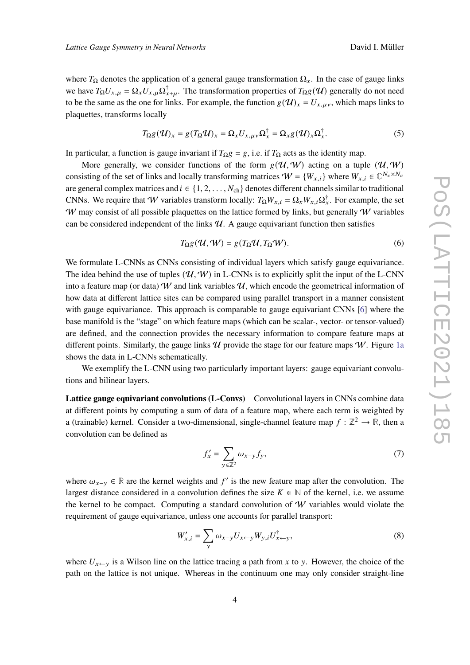where  $T_{\Omega}$  denotes the application of a general gauge transformation  $\Omega_{x}$ . In the case of gauge links we have  $T_{\Omega}U_{x,\mu} = \Omega_x U_{x,\mu} \Omega_{x+\mu}^{\dagger}$ . The transformation properties of  $T_{\Omega}g(\mathcal{U})$  generally do not need to be the same as the one for links. For example, the function  $g(\mathcal{U})_x = U_{x,\mu\nu}$ , which maps links to plaquettes, transforms locally

$$
T_{\Omega}g(\mathcal{U})_x = g(T_{\Omega}\mathcal{U})_x = \Omega_x U_{x,\mu\nu}\Omega_x^{\dagger} = \Omega_x g(\mathcal{U})_x \Omega_x^{\dagger}.
$$
 (5)

In particular, a function is gauge invariant if  $T_{\Omega}g = g$ , i.e. if  $T_{\Omega}$  acts as the identity map.

More generally, we consider functions of the form  $g(\mathcal{U}, \mathcal{W})$  acting on a tuple  $(\mathcal{U}, \mathcal{W})$ consisting of the set of links and locally transforming matrices  $W = \{W_{x,i}\}\$  where  $W_{x,i} \in \mathbb{C}^{N_c \times N_c}$ are general complex matrices and  $i \in \{1, 2, ..., N_{ch}\}$  denotes different channels similar to traditional CNNs. We require that W variables transform locally:  $T_{\Omega}W_{x,i} = \Omega_x W_{x,i} \Omega_x^{\dagger}$ . For example, the set W may consist of all possible plaquettes on the lattice formed by links, but generally  $W$  variables can be considered independent of the links  $U$ . A gauge equivariant function then satisfies

$$
T_{\Omega}g(\mathcal{U},\mathcal{W}) = g(T_{\Omega}\mathcal{U},T_{\Omega}\mathcal{W}).
$$
\n(6)

We formulate L-CNNs as CNNs consisting of individual layers which satisfy gauge equivariance. The idea behind the use of tuples  $(\mathcal{U}, \mathcal{W})$  in L-CNNs is to explicitly split the input of the L-CNN into a feature map (or data) W and link variables  $\mathcal{U}$ , which encode the geometrical information of how data at different lattice sites can be compared using parallel transport in a manner consistent with gauge equivariance. This approach is comparable to gauge equivariant CNNs [\[6\]](#page-8-5) where the base manifold is the "stage" on which feature maps (which can be scalar-, vector- or tensor-valued) are defined, and the connection provides the necessary information to compare feature maps at different points. Similarly, the gauge links  $\mathcal U$  provide the stage for our feature maps  $\mathcal W$ . Figure [1a](#page-4-0) shows the data in L-CNNs schematically.

We exemplify the L-CNN using two particularly important layers: gauge equivariant convolutions and bilinear layers.

**Lattice gauge equivariant convolutions (L-Convs)** Convolutional layers in CNNs combine data at different points by computing a sum of data of a feature map, where each term is weighted by a (trainable) kernel. Consider a two-dimensional, single-channel feature map  $f : \mathbb{Z}^2 \to \mathbb{R}$ , then a convolution can be defined as

$$
f'_x = \sum_{y \in \mathbb{Z}^2} \omega_{x-y} f_y,\tag{7}
$$

where  $\omega_{x-y} \in \mathbb{R}$  are the kernel weights and f' is the new feature map after the convolution. The largest distance considered in a convolution defines the size  $K \in \mathbb{N}$  of the kernel, i.e. we assume the kernel to be compact. Computing a standard convolution of  $W$  variables would violate the requirement of gauge equivariance, unless one accounts for parallel transport:

$$
W'_{x,i} = \sum_{y} \omega_{x-y} U_{x \leftarrow y} W_{y,i} U_{x \leftarrow y}^{\dagger}, \tag{8}
$$

where  $U_{x\leftarrow y}$  is a Wilson line on the lattice tracing a path from x to y. However, the choice of the path on the lattice is not unique. Whereas in the continuum one may only consider straight-line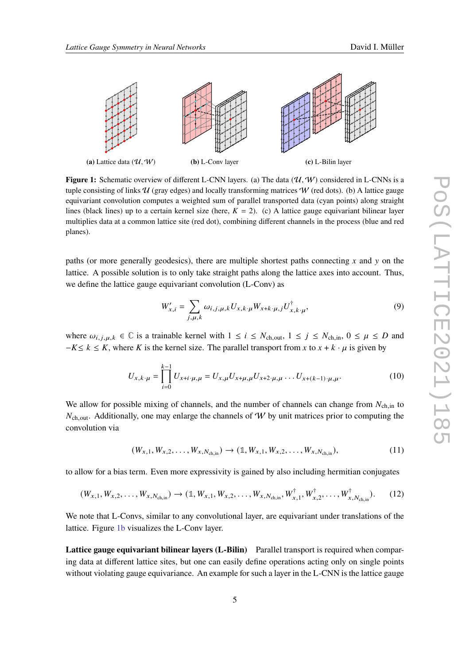<span id="page-4-0"></span>

**Figure 1:** Schematic overview of different L-CNN layers. (a) The data  $(\mathcal{U}, \mathcal{W})$  considered in L-CNNs is a tuple consisting of links  $\mathcal U$  (gray edges) and locally transforming matrices  $\mathcal W$  (red dots). (b) A lattice gauge equivariant convolution computes a weighted sum of parallel transported data (cyan points) along straight lines (black lines) up to a certain kernel size (here,  $K = 2$ ). (c) A lattice gauge equivariant bilinear layer multiplies data at a common lattice site (red dot), combining different channels in the process (blue and red planes).

paths (or more generally geodesics), there are multiple shortest paths connecting  $x$  and  $y$  on the lattice. A possible solution is to only take straight paths along the lattice axes into account. Thus, we define the lattice gauge equivariant convolution (L-Conv) as

$$
W'_{x,i} = \sum_{j,\mu,k} \omega_{i,j,\mu,k} U_{x,k} \cdot \mu W_{x+k} \cdot \mu, j U_{x,k}^{\dagger} \cdot \mu,
$$
\n<sup>(9)</sup>

where  $\omega_{i,j,\mu,k} \in \mathbb{C}$  is a trainable kernel with  $1 \le i \le N_{ch,out}$ ,  $1 \le j \le N_{ch,in}$ ,  $0 \le \mu \le D$  and  $-K \le k \le K$ , where K is the kernel size. The parallel transport from x to  $x + k \cdot \mu$  is given by

$$
U_{x,k\cdot\mu} = \prod_{i=0}^{k-1} U_{x+i\cdot\mu,\mu} = U_{x,\mu} U_{x+\mu,\mu} U_{x+2\cdot\mu,\mu} \dots U_{x+(k-1)\cdot\mu,\mu}.
$$
 (10)

We allow for possible mixing of channels, and the number of channels can change from  $N_{ch,in}$  to  $N_{\text{ch,out}}$ . Additionally, one may enlarge the channels of W by unit matrices prior to computing the convolution via

$$
(W_{x,1}, W_{x,2}, \dots, W_{x,N_{\text{ch,in}}}) \to (\mathbb{1}, W_{x,1}, W_{x,2}, \dots, W_{x,N_{\text{ch,in}}}),
$$
\n(11)

to allow for a bias term. Even more expressivity is gained by also including hermitian conjugates

$$
(W_{x,1}, W_{x,2}, \dots, W_{x,N_{\text{ch,in}}}) \to (\mathbb{1}, W_{x,1}, W_{x,2}, \dots, W_{x,N_{\text{ch,in}}}, W_{x,1}^{\dagger}, W_{x,2}^{\dagger}, \dots, W_{x,N_{\text{ch,in}}}).
$$
 (12)

We note that L-Convs, similar to any convolutional layer, are equivariant under translations of the lattice. Figure [1b](#page-4-0) visualizes the L-Conv layer.

**Lattice gauge equivariant bilinear layers (L-Bilin)** Parallel transport is required when comparing data at different lattice sites, but one can easily define operations acting only on single points without violating gauge equivariance. An example for such a layer in the L-CNN is the lattice gauge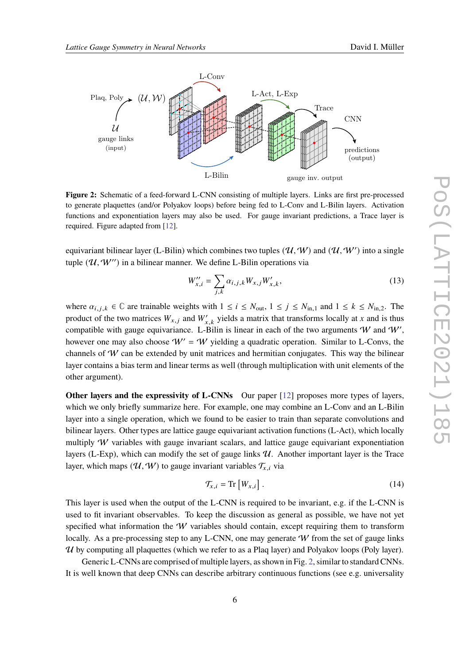<span id="page-5-0"></span>

**Figure 2:** Schematic of a feed-forward L-CNN consisting of multiple layers. Links are first pre-processed to generate plaquettes (and/or Polyakov loops) before being fed to L-Conv and L-Bilin layers. Activation functions and exponentiation layers may also be used. For gauge invariant predictions, a Trace layer is required. Figure adapted from [\[12\]](#page-8-10).

equivariant bilinear layer (L-Bilin) which combines two tuples  $(\mathcal{U}, \mathcal{W})$  and  $(\mathcal{U}, \mathcal{W}')$  into a single tuple  $(\mathcal{U}, \mathcal{W}'')$  in a bilinear manner. We define L-Bilin operations via

$$
W_{x,i}'' = \sum_{j,k} \alpha_{i,j,k} W_{x,j} W_{x,k}',
$$
\n(13)

where  $\alpha_{i,j,k} \in \mathbb{C}$  are trainable weights with  $1 \le i \le N_{\text{out}}$ ,  $1 \le j \le N_{\text{in},1}$  and  $1 \le k \le N_{\text{in},2}$ . The product of the two matrices  $W_{x,j}$  and  $W'_{x,k}$  yields a matrix that transforms locally at x and is thus compatible with gauge equivariance. L-Bilin is linear in each of the two arguments W and W', however one may also choose  $W' = W$  yielding a quadratic operation. Similar to L-Convs, the channels of  $W$  can be extended by unit matrices and hermitian conjugates. This way the bilinear layer contains a bias term and linear terms as well (through multiplication with unit elements of the other argument).

**Other layers and the expressivity of L-CNNs** Our paper [\[12\]](#page-8-10) proposes more types of layers, which we only briefly summarize here. For example, one may combine an L-Conv and an L-Bilin layer into a single operation, which we found to be easier to train than separate convolutions and bilinear layers. Other types are lattice gauge equivariant activation functions (L-Act), which locally multiply  $W$  variables with gauge invariant scalars, and lattice gauge equivariant exponentiation layers (L-Exp), which can modify the set of gauge links  $U$ . Another important layer is the Trace layer, which maps  $(\mathcal{U}, \mathcal{W})$  to gauge invariant variables  $\mathcal{T}_{x,i}$  via

$$
\mathcal{T}_{x,i} = \text{Tr}\left[W_{x,i}\right].\tag{14}
$$

This layer is used when the output of the L-CNN is required to be invariant, e.g. if the L-CNN is used to fit invariant observables. To keep the discussion as general as possible, we have not yet specified what information the  $W$  variables should contain, except requiring them to transform locally. As a pre-processing step to any L-CNN, one may generate  $W$  from the set of gauge links  $U$  by computing all plaquettes (which we refer to as a Plaq layer) and Polyakov loops (Poly layer).

Generic L-CNNs are comprised of multiple layers, as shown in Fig. [2,](#page-5-0) similar to standard CNNs. It is well known that deep CNNs can describe arbitrary continuous functions (see e.g. universality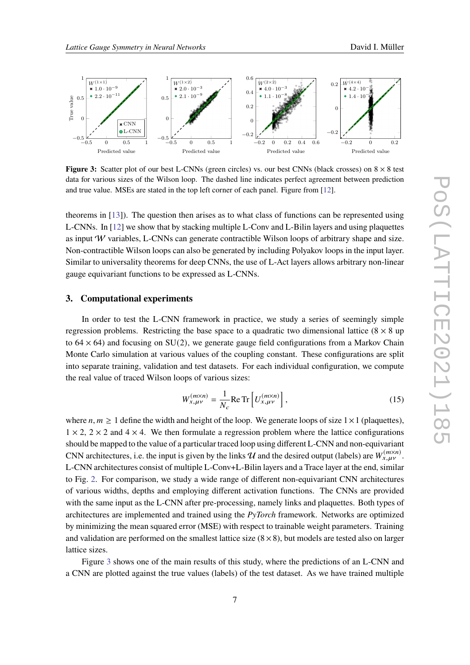<span id="page-6-0"></span>

**Figure 3:** Scatter plot of our best L-CNNs (green circles) vs. our best CNNs (black crosses) on  $8 \times 8$  test data for various sizes of the Wilson loop. The dashed line indicates perfect agreement between prediction and true value. MSEs are stated in the top left corner of each panel. Figure from [\[12\]](#page-8-10).

theorems in [\[13\]](#page-9-0)). The question then arises as to what class of functions can be represented using L-CNNs. In [\[12\]](#page-8-10) we show that by stacking multiple L-Conv and L-Bilin layers and using plaquettes as input  $W$  variables, L-CNNs can generate contractible Wilson loops of arbitrary shape and size. Non-contractible Wilson loops can also be generated by including Polyakov loops in the input layer. Similar to universality theorems for deep CNNs, the use of L-Act layers allows arbitrary non-linear gauge equivariant functions to be expressed as L-CNNs.

## **3. Computational experiments**

In order to test the L-CNN framework in practice, we study a series of seemingly simple regression problems. Restricting the base space to a quadratic two dimensional lattice  $(8 \times 8 \text{ up})$ to  $64 \times 64$ ) and focusing on SU(2), we generate gauge field configurations from a Markov Chain Monte Carlo simulation at various values of the coupling constant. These configurations are split into separate training, validation and test datasets. For each individual configuration, we compute the real value of traced Wilson loops of various sizes:

$$
W_{x,\mu\nu}^{(m\times n)} = \frac{1}{N_c} \text{Re Tr}\left[ U_{x,\mu\nu}^{(m\times n)} \right],\tag{15}
$$

where  $n, m \geq 1$  define the width and height of the loop. We generate loops of size  $1 \times 1$  (plaquettes),  $1 \times 2$ ,  $2 \times 2$  and  $4 \times 4$ . We then formulate a regression problem where the lattice configurations should be mapped to the value of a particular traced loop using different L-CNN and non-equivariant CNN architectures, i.e. the input is given by the links  $\hat{U}$  and the desired output (labels) are  $W_{x,\mu\nu}^{(m\times n)}$ . L-CNN architectures consist of multiple L-Conv+L-Bilin layers and a Trace layer at the end, similar to Fig. [2.](#page-5-0) For comparison, we study a wide range of different non-equivariant CNN architectures of various widths, depths and employing different activation functions. The CNNs are provided with the same input as the L-CNN after pre-processing, namely links and plaquettes. Both types of architectures are implemented and trained using the *PyTorch* framework. Networks are optimized by minimizing the mean squared error (MSE) with respect to trainable weight parameters. Training and validation are performed on the smallest lattice size  $(8 \times 8)$ , but models are tested also on larger lattice sizes.

Figure [3](#page-6-0) shows one of the main results of this study, where the predictions of an L-CNN and a CNN are plotted against the true values (labels) of the test dataset. As we have trained multiple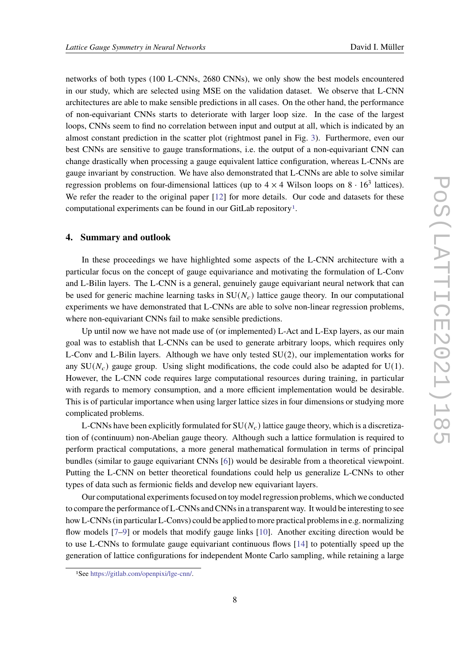networks of both types (100 L-CNNs, 2680 CNNs), we only show the best models encountered in our study, which are selected using MSE on the validation dataset. We observe that L-CNN architectures are able to make sensible predictions in all cases. On the other hand, the performance of non-equivariant CNNs starts to deteriorate with larger loop size. In the case of the largest loops, CNNs seem to find no correlation between input and output at all, which is indicated by an almost constant prediction in the scatter plot (rightmost panel in Fig. [3\)](#page-6-0). Furthermore, even our best CNNs are sensitive to gauge transformations, i.e. the output of a non-equivariant CNN can change drastically when processing a gauge equivalent lattice configuration, whereas L-CNNs are gauge invariant by construction. We have also demonstrated that L-CNNs are able to solve similar regression problems on four-dimensional lattices (up to  $4 \times 4$  Wilson loops on  $8 \cdot 16^3$  lattices). We refer the reader to the original paper [\[12\]](#page-8-10) for more details. Our code and datasets for these computational experiments can be found in our GitLab repository[1](#page-7-0).

# **4. Summary and outlook**

In these proceedings we have highlighted some aspects of the L-CNN architecture with a particular focus on the concept of gauge equivariance and motivating the formulation of L-Conv and L-Bilin layers. The L-CNN is a general, genuinely gauge equivariant neural network that can be used for generic machine learning tasks in  $SU(N<sub>c</sub>)$  lattice gauge theory. In our computational experiments we have demonstrated that L-CNNs are able to solve non-linear regression problems, where non-equivariant CNNs fail to make sensible predictions.

Up until now we have not made use of (or implemented) L-Act and L-Exp layers, as our main goal was to establish that L-CNNs can be used to generate arbitrary loops, which requires only L-Conv and L-Bilin layers. Although we have only tested  $SU(2)$ , our implementation works for any  $SU(N_c)$  gauge group. Using slight modifications, the code could also be adapted for U(1). However, the L-CNN code requires large computational resources during training, in particular with regards to memory consumption, and a more efficient implementation would be desirable. This is of particular importance when using larger lattice sizes in four dimensions or studying more complicated problems.

L-CNNs have been explicitly formulated for  $SU(N_c)$  lattice gauge theory, which is a discretization of (continuum) non-Abelian gauge theory. Although such a lattice formulation is required to perform practical computations, a more general mathematical formulation in terms of principal bundles (similar to gauge equivariant CNNs [\[6\]](#page-8-5)) would be desirable from a theoretical viewpoint. Putting the L-CNN on better theoretical foundations could help us generalize L-CNNs to other types of data such as fermionic fields and develop new equivariant layers.

Our computational experiments focused on toy model regression problems, which we conducted to compare the performance of L-CNNs and CNNs in a transparent way. It would be interesting to see how L-CNNs (in particular L-Convs) could be applied to more practical problems in e.g. normalizing flow models [\[7](#page-8-6)[–9\]](#page-8-7) or models that modify gauge links [\[10\]](#page-8-8). Another exciting direction would be to use L-CNNs to formulate gauge equivariant continuous flows [\[14\]](#page-9-1) to potentially speed up the generation of lattice configurations for independent Monte Carlo sampling, while retaining a large

<span id="page-7-0"></span><sup>1</sup>See [https://gitlab.com/openpixi/lge-cnn/.](https://gitlab.com/openpixi/lge-cnn/)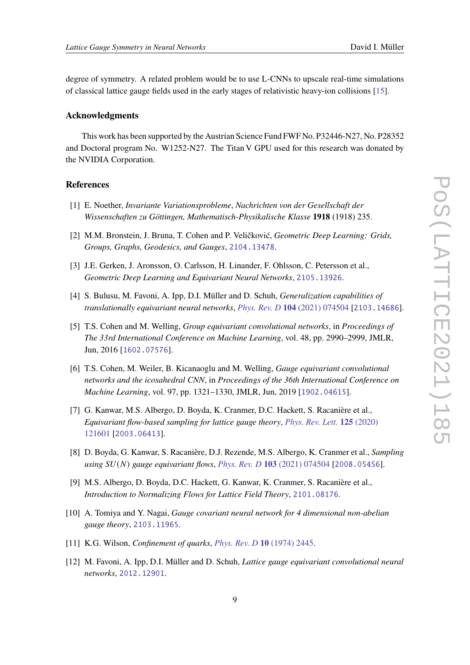degree of symmetry. A related problem would be to use L-CNNs to upscale real-time simulations of classical lattice gauge fields used in the early stages of relativistic heavy-ion collisions [\[15\]](#page-9-2).

#### **Acknowledgments**

This work has been supported by the Austrian Science Fund FWF No. P32446-N27, No. P28352 and Doctoral program No. W1252-N27. The Titan V GPU used for this research was donated by the NVIDIA Corporation.

## **References**

- <span id="page-8-0"></span>[1] E. Noether, *Invariante Variationsprobleme*, *Nachrichten von der Gesellschaft der Wissenschaften zu Göttingen, Mathematisch-Physikalische Klasse* **1918** (1918) 235.
- <span id="page-8-1"></span>[2] M.M. Bronstein, J. Bruna, T. Cohen and P. Veličković, *Geometric Deep Learning: Grids, Groups, Graphs, Geodesics, and Gauges*, [2104.13478](https://arxiv.org/abs/2104.13478).
- <span id="page-8-2"></span>[3] J.E. Gerken, J. Aronsson, O. Carlsson, H. Linander, F. Ohlsson, C. Petersson et al., *Geometric Deep Learning and Equivariant Neural Networks*, [2105.13926](https://arxiv.org/abs/2105.13926).
- <span id="page-8-3"></span>[4] S. Bulusu, M. Favoni, A. Ipp, D.I. Müller and D. Schuh, *Generalization capabilities of translationally equivariant neural networks*, *Phys. Rev. D* **104** [\(2021\) 074504](https://doi.org/10.1103/PhysRevD.104.074504) [[2103.14686](https://arxiv.org/abs/2103.14686)].
- <span id="page-8-4"></span>[5] T.S. Cohen and M. Welling, *Group equivariant convolutional networks*, in *Proceedings of The 33rd International Conference on Machine Learning*, vol. 48, pp. 2990–2999, JMLR, Jun, 2016 [[1602.07576](https://arxiv.org/abs/1602.07576)].
- <span id="page-8-5"></span>[6] T.S. Cohen, M. Weiler, B. Kicanaoglu and M. Welling, *Gauge equivariant convolutional networks and the icosahedral CNN*, in *Proceedings of the 36th International Conference on Machine Learning*, vol. 97, pp. 1321–1330, JMLR, Jun, 2019 [[1902.04615](https://arxiv.org/abs/1902.04615)].
- <span id="page-8-6"></span>[7] G. Kanwar, M.S. Albergo, D. Boyda, K. Cranmer, D.C. Hackett, S. Racanière et al., *Equivariant flow-based sampling for lattice gauge theory*, *[Phys. Rev. Lett.](https://doi.org/10.1103/PhysRevLett.125.121601)* **125** (2020) [121601](https://doi.org/10.1103/PhysRevLett.125.121601) [[2003.06413](https://arxiv.org/abs/2003.06413)].
- [8] D. Boyda, G. Kanwar, S. Racanière, D.J. Rezende, M.S. Albergo, K. Cranmer et al., *Sampling using* () *gauge equivariant flows*, *Phys. Rev. D* **103** [\(2021\) 074504](https://doi.org/10.1103/PhysRevD.103.074504) [[2008.05456](https://arxiv.org/abs/2008.05456)].
- <span id="page-8-7"></span>[9] M.S. Albergo, D. Boyda, D.C. Hackett, G. Kanwar, K. Cranmer, S. Racanière et al., *Introduction to Normalizing Flows for Lattice Field Theory*, [2101.08176](https://arxiv.org/abs/2101.08176).
- <span id="page-8-8"></span>[10] A. Tomiya and Y. Nagai, *Gauge covariant neural network for 4 dimensional non-abelian gauge theory*, [2103.11965](https://arxiv.org/abs/2103.11965).
- <span id="page-8-9"></span>[11] K.G. Wilson, *Confinement of quarks*, *[Phys. Rev. D](https://doi.org/10.1103/PhysRevD.10.2445)* **10** (1974) 2445.
- <span id="page-8-10"></span>[12] M. Favoni, A. Ipp, D.I. Müller and D. Schuh, *Lattice gauge equivariant convolutional neural networks*, [2012.12901](https://arxiv.org/abs/2012.12901).